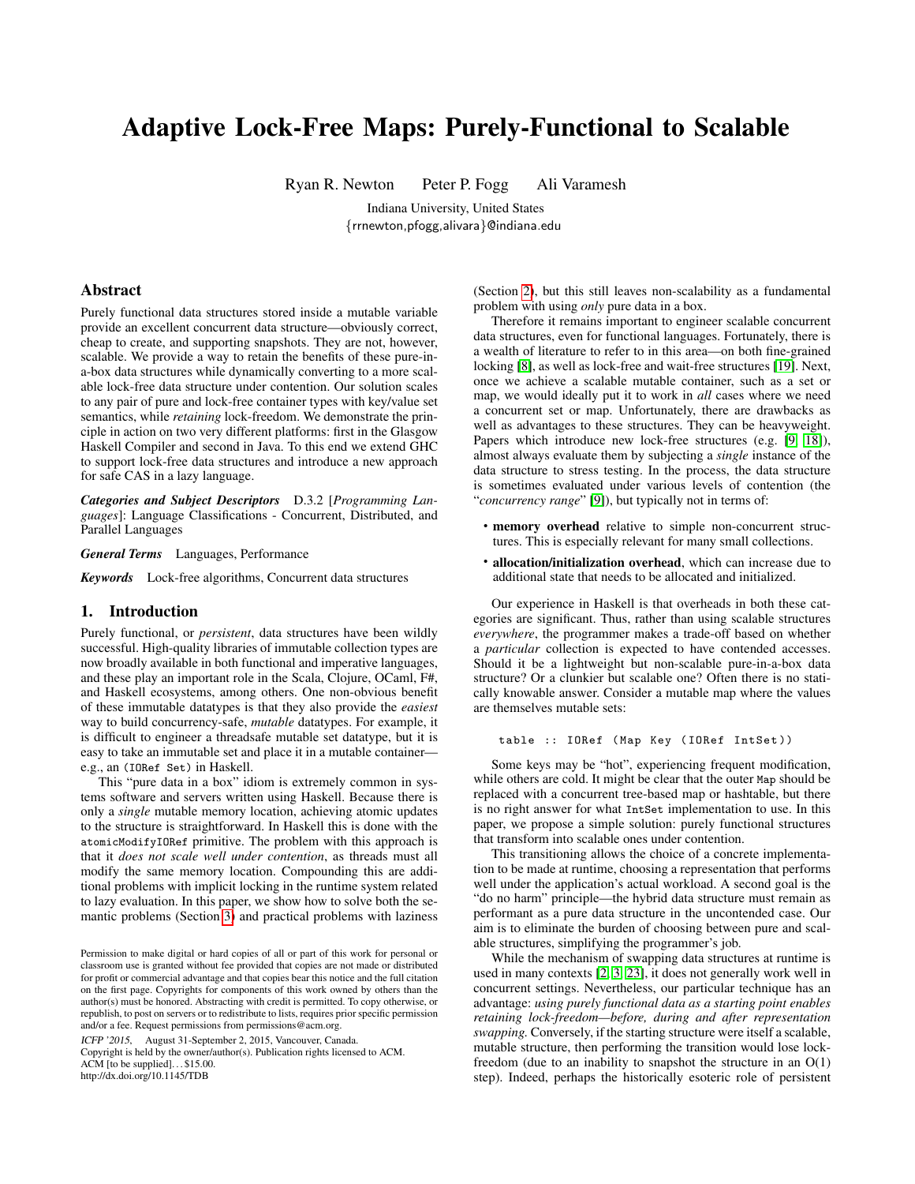# Adaptive Lock-Free Maps: Purely-Functional to Scalable

Ryan R. Newton Peter P. Fogg Ali Varamesh

Indiana University, United States {rrnewton,pfogg,alivara}@indiana.edu

## Abstract

Purely functional data structures stored inside a mutable variable provide an excellent concurrent data structure—obviously correct, cheap to create, and supporting snapshots. They are not, however, scalable. We provide a way to retain the benefits of these pure-ina-box data structures while dynamically converting to a more scalable lock-free data structure under contention. Our solution scales to any pair of pure and lock-free container types with key/value set semantics, while *retaining* lock-freedom. We demonstrate the principle in action on two very different platforms: first in the Glasgow Haskell Compiler and second in Java. To this end we extend GHC to support lock-free data structures and introduce a new approach for safe CAS in a lazy language.

*Categories and Subject Descriptors* D.3.2 [*Programming Languages*]: Language Classifications - Concurrent, Distributed, and Parallel Languages

*General Terms* Languages, Performance

*Keywords* Lock-free algorithms, Concurrent data structures

## 1. Introduction

Purely functional, or *persistent*, data structures have been wildly successful. High-quality libraries of immutable collection types are now broadly available in both functional and imperative languages, and these play an important role in the Scala, Clojure, OCaml, F#, and Haskell ecosystems, among others. One non-obvious benefit of these immutable datatypes is that they also provide the *easiest* way to build concurrency-safe, *mutable* datatypes. For example, it is difficult to engineer a threadsafe mutable set datatype, but it is easy to take an immutable set and place it in a mutable container e.g., an (IORef Set) in Haskell.

This "pure data in a box" idiom is extremely common in systems software and servers written using Haskell. Because there is only a *single* mutable memory location, achieving atomic updates to the structure is straightforward. In Haskell this is done with the atomicModifyIORef primitive. The problem with this approach is that it *does not scale well under contention*, as threads must all modify the same memory location. Compounding this are additional problems with implicit locking in the runtime system related to lazy evaluation. In this paper, we show how to solve both the semantic problems (Section [3\)](#page-1-0) and practical problems with laziness

ICFP '2015, August 31-September 2, 2015, Vancouver, Canada.

Copyright is held by the owner/author(s). Publication rights licensed to ACM.

ACM [to be supplied]. . . \$15.00. http://dx.doi.org/10.1145/TDB

(Section [2\)](#page-1-1), but this still leaves non-scalability as a fundamental problem with using *only* pure data in a box.

Therefore it remains important to engineer scalable concurrent data structures, even for functional languages. Fortunately, there is a wealth of literature to refer to in this area—on both fine-grained locking [\[8\]](#page-11-0), as well as lock-free and wait-free structures [\[19\]](#page-11-1). Next, once we achieve a scalable mutable container, such as a set or map, we would ideally put it to work in *all* cases where we need a concurrent set or map. Unfortunately, there are drawbacks as well as advantages to these structures. They can be heavyweight. Papers which introduce new lock-free structures (e.g. [\[9,](#page-11-2) [18\]](#page-11-3)), almost always evaluate them by subjecting a *single* instance of the data structure to stress testing. In the process, the data structure is sometimes evaluated under various levels of contention (the "*concurrency range*" [\[9\]](#page-11-2)), but typically not in terms of:

- memory overhead relative to simple non-concurrent structures. This is especially relevant for many small collections.
- allocation/initialization overhead, which can increase due to additional state that needs to be allocated and initialized.

Our experience in Haskell is that overheads in both these categories are significant. Thus, rather than using scalable structures *everywhere*, the programmer makes a trade-off based on whether a *particular* collection is expected to have contended accesses. Should it be a lightweight but non-scalable pure-in-a-box data structure? Or a clunkier but scalable one? Often there is no statically knowable answer. Consider a mutable map where the values are themselves mutable sets:

table :: IORef (Map Key (IORef IntSet))

Some keys may be "hot", experiencing frequent modification, while others are cold. It might be clear that the outer Map should be replaced with a concurrent tree-based map or hashtable, but there is no right answer for what IntSet implementation to use. In this paper, we propose a simple solution: purely functional structures that transform into scalable ones under contention.

This transitioning allows the choice of a concrete implementation to be made at runtime, choosing a representation that performs well under the application's actual workload. A second goal is the "do no harm" principle—the hybrid data structure must remain as performant as a pure data structure in the uncontended case. Our aim is to eliminate the burden of choosing between pure and scalable structures, simplifying the programmer's job.

While the mechanism of swapping data structures at runtime is used in many contexts [\[2,](#page-11-4) [3,](#page-11-5) [23\]](#page-11-6), it does not generally work well in concurrent settings. Nevertheless, our particular technique has an advantage: *using purely functional data as a starting point enables retaining lock-freedom—before, during and after representation swapping.* Conversely, if the starting structure were itself a scalable, mutable structure, then performing the transition would lose lockfreedom (due to an inability to snapshot the structure in an  $O(1)$ ) step). Indeed, perhaps the historically esoteric role of persistent

Permission to make digital or hard copies of all or part of this work for personal or classroom use is granted without fee provided that copies are not made or distributed for profit or commercial advantage and that copies bear this notice and the full citation on the first page. Copyrights for components of this work owned by others than the author(s) must be honored. Abstracting with credit is permitted. To copy otherwise, or republish, to post on servers or to redistribute to lists, requires prior specific permission and/or a fee. Request permissions from permissions@acm.org.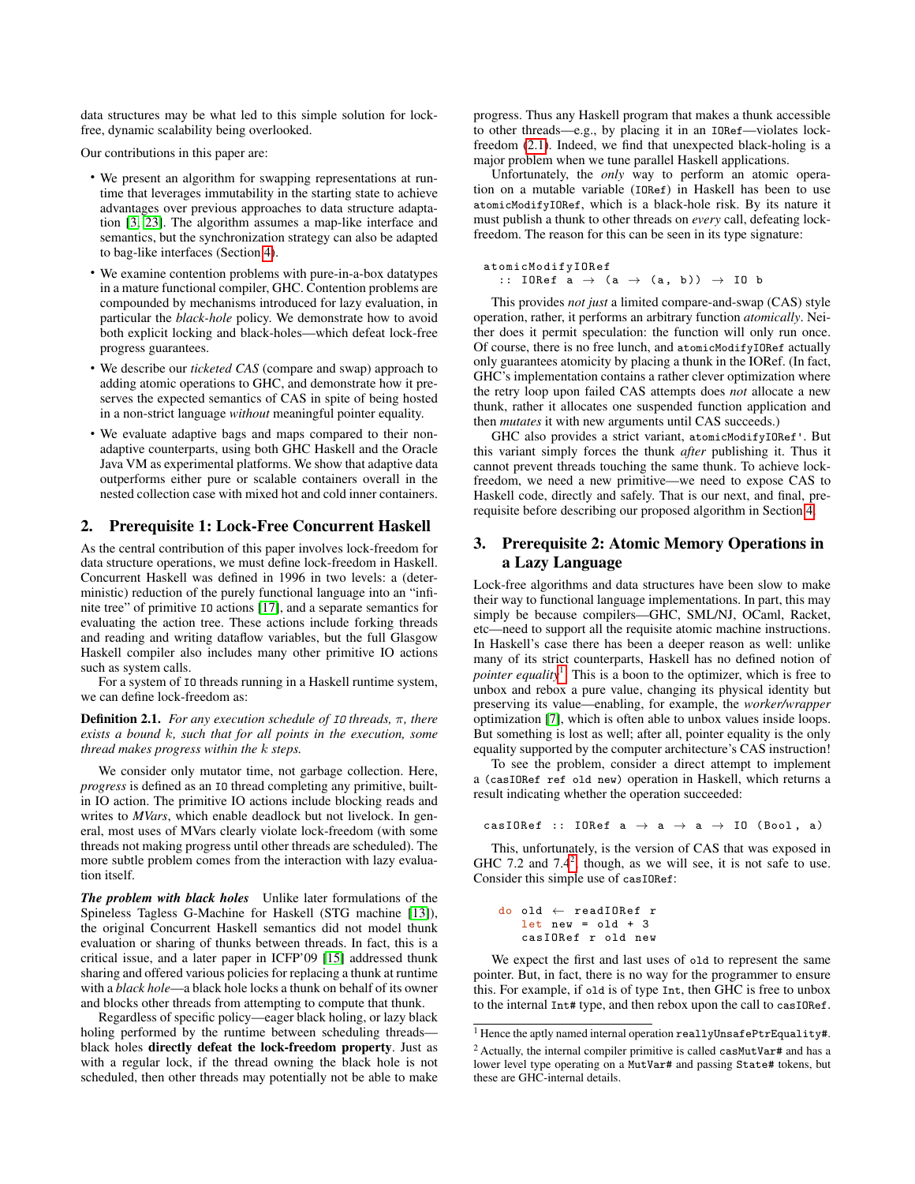data structures may be what led to this simple solution for lockfree, dynamic scalability being overlooked.

Our contributions in this paper are:

- We present an algorithm for swapping representations at runtime that leverages immutability in the starting state to achieve advantages over previous approaches to data structure adaptation [\[3,](#page-11-5) [23\]](#page-11-6). The algorithm assumes a map-like interface and semantics, but the synchronization strategy can also be adapted to bag-like interfaces (Section [4\)](#page-2-0).
- We examine contention problems with pure-in-a-box datatypes in a mature functional compiler, GHC. Contention problems are compounded by mechanisms introduced for lazy evaluation, in particular the *black-hole* policy. We demonstrate how to avoid both explicit locking and black-holes—which defeat lock-free progress guarantees.
- We describe our *ticketed CAS* (compare and swap) approach to adding atomic operations to GHC, and demonstrate how it preserves the expected semantics of CAS in spite of being hosted in a non-strict language *without* meaningful pointer equality.
- We evaluate adaptive bags and maps compared to their nonadaptive counterparts, using both GHC Haskell and the Oracle Java VM as experimental platforms. We show that adaptive data outperforms either pure or scalable containers overall in the nested collection case with mixed hot and cold inner containers.

# <span id="page-1-1"></span>2. Prerequisite 1: Lock-Free Concurrent Haskell

As the central contribution of this paper involves lock-freedom for data structure operations, we must define lock-freedom in Haskell. Concurrent Haskell was defined in 1996 in two levels: a (deterministic) reduction of the purely functional language into an "infinite tree" of primitive IO actions [\[17\]](#page-11-7), and a separate semantics for evaluating the action tree. These actions include forking threads and reading and writing dataflow variables, but the full Glasgow Haskell compiler also includes many other primitive IO actions such as system calls.

For a system of IO threads running in a Haskell runtime system, we can define lock-freedom as:

<span id="page-1-2"></span>Definition 2.1. *For any execution schedule of* IO *threads,* π*, there exists a bound* k*, such that for all points in the execution, some thread makes progress within the* k *steps.*

We consider only mutator time, not garbage collection. Here, *progress* is defined as an IO thread completing any primitive, builtin IO action. The primitive IO actions include blocking reads and writes to *MVars*, which enable deadlock but not livelock. In general, most uses of MVars clearly violate lock-freedom (with some threads not making progress until other threads are scheduled). The more subtle problem comes from the interaction with lazy evaluation itself.

*The problem with black holes* Unlike later formulations of the Spineless Tagless G-Machine for Haskell (STG machine [\[13\]](#page-11-8)), the original Concurrent Haskell semantics did not model thunk evaluation or sharing of thunks between threads. In fact, this is a critical issue, and a later paper in ICFP'09 [\[15\]](#page-11-9) addressed thunk sharing and offered various policies for replacing a thunk at runtime with a *black hole*—a black hole locks a thunk on behalf of its owner and blocks other threads from attempting to compute that thunk.

Regardless of specific policy—eager black holing, or lazy black holing performed by the runtime between scheduling threads black holes directly defeat the lock-freedom property. Just as with a regular lock, if the thread owning the black hole is not scheduled, then other threads may potentially not be able to make progress. Thus any Haskell program that makes a thunk accessible to other threads—e.g., by placing it in an IORef—violates lockfreedom [\(2.1\)](#page-1-2). Indeed, we find that unexpected black-holing is a major problem when we tune parallel Haskell applications.

Unfortunately, the *only* way to perform an atomic operation on a mutable variable (IORef) in Haskell has been to use atomicModifyIORef, which is a black-hole risk. By its nature it must publish a thunk to other threads on *every* call, defeating lockfreedom. The reason for this can be seen in its type signature:

```
atomicModifyIORef
  :: IORef a \rightarrow (a \rightarrow (a, b)) \rightarrow I0 b
```
This provides *not just* a limited compare-and-swap (CAS) style operation, rather, it performs an arbitrary function *atomically*. Neither does it permit speculation: the function will only run once. Of course, there is no free lunch, and atomicModifyIORef actually only guarantees atomicity by placing a thunk in the IORef. (In fact, GHC's implementation contains a rather clever optimization where the retry loop upon failed CAS attempts does *not* allocate a new thunk, rather it allocates one suspended function application and then *mutates* it with new arguments until CAS succeeds.)

GHC also provides a strict variant, atomicModifyIORef'. But this variant simply forces the thunk *after* publishing it. Thus it cannot prevent threads touching the same thunk. To achieve lockfreedom, we need a new primitive—we need to expose CAS to Haskell code, directly and safely. That is our next, and final, prerequisite before describing our proposed algorithm in Section [4.](#page-2-1)

# <span id="page-1-0"></span>3. Prerequisite 2: Atomic Memory Operations in a Lazy Language

Lock-free algorithms and data structures have been slow to make their way to functional language implementations. In part, this may simply be because compilers—GHC, SML/NJ, OCaml, Racket, etc—need to support all the requisite atomic machine instructions. In Haskell's case there has been a deeper reason as well: unlike many of its strict counterparts, Haskell has no defined notion of pointer equality<sup>[1](#page-1-3)</sup>. This is a boon to the optimizer, which is free to unbox and rebox a pure value, changing its physical identity but preserving its value—enabling, for example, the *worker/wrapper* optimization [\[7\]](#page-11-10), which is often able to unbox values inside loops. But something is lost as well; after all, pointer equality is the only equality supported by the computer architecture's CAS instruction!

To see the problem, consider a direct attempt to implement a (casIORef ref old new) operation in Haskell, which returns a result indicating whether the operation succeeded:

casIORef :: IORef  $a \rightarrow a \rightarrow a \rightarrow I0$  (Bool, a)

This, unfortunately, is the version of CAS that was exposed in GHC 7.[2](#page-1-4) and 7.4<sup>2</sup>, though, as we will see, it is not safe to use. Consider this simple use of casIORef:

```
do old ← readIORef r
   let new = old + 3casIORef r old new
```
We expect the first and last uses of old to represent the same pointer. But, in fact, there is no way for the programmer to ensure this. For example, if old is of type Int, then GHC is free to unbox to the internal Int# type, and then rebox upon the call to casIORef.

<span id="page-1-3"></span><sup>1</sup> Hence the aptly named internal operation reallyUnsafePtrEquality#.

<span id="page-1-4"></span><sup>&</sup>lt;sup>2</sup> Actually, the internal compiler primitive is called casMutVar# and has a lower level type operating on a MutVar# and passing State# tokens, but these are GHC-internal details.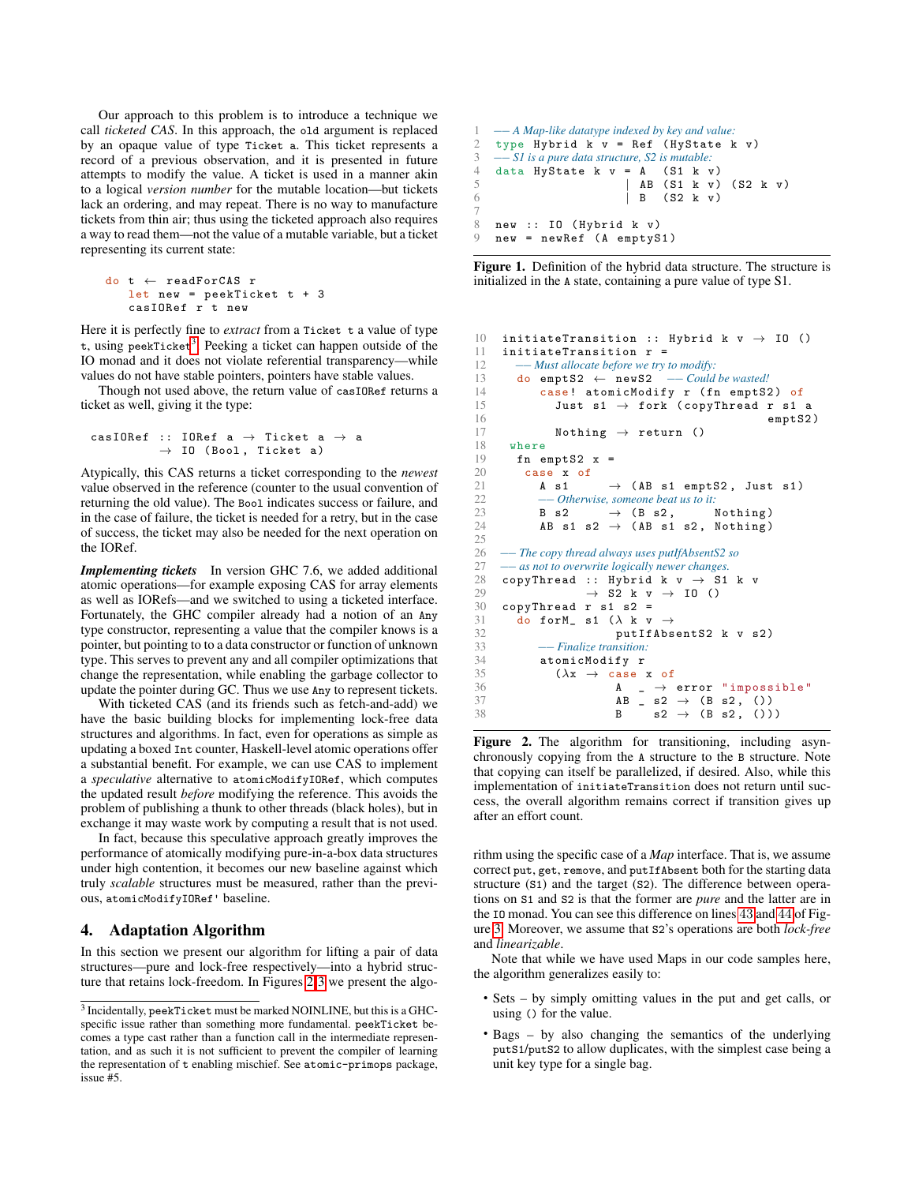Our approach to this problem is to introduce a technique we call *ticketed CAS*. In this approach, the old argument is replaced by an opaque value of type Ticket a. This ticket represents a record of a previous observation, and it is presented in future attempts to modify the value. A ticket is used in a manner akin to a logical *version number* for the mutable location—but tickets lack an ordering, and may repeat. There is no way to manufacture tickets from thin air; thus using the ticketed approach also requires a way to read them—not the value of a mutable variable, but a ticket representing its current state:

```
do t ← readForCAS r
  let new = peekTicket t + 3
   casIORef r t new
```
Here it is perfectly fine to *extract* from a Ticket t a value of type t, using peekTicket<sup>[3](#page-2-2)</sup>. Peeking a ticket can happen outside of the IO monad and it does not violate referential transparency—while values do not have stable pointers, pointers have stable values.

Though not used above, the return value of casIORef returns a ticket as well, giving it the type:

```
casIORef :: IORef a \rightarrow Ticket a \rightarrow a
             \rightarrow IO (Bool, Ticket a)
```
Atypically, this CAS returns a ticket corresponding to the *newest* value observed in the reference (counter to the usual convention of returning the old value). The Bool indicates success or failure, and in the case of failure, the ticket is needed for a retry, but in the case of success, the ticket may also be needed for the next operation on the IORef.

*Implementing tickets* In version GHC 7.6, we added additional atomic operations—for example exposing CAS for array elements as well as IORefs—and we switched to using a ticketed interface. Fortunately, the GHC compiler already had a notion of an Any type constructor, representing a value that the compiler knows is a pointer, but pointing to to a data constructor or function of unknown type. This serves to prevent any and all compiler optimizations that change the representation, while enabling the garbage collector to update the pointer during GC. Thus we use Any to represent tickets.

With ticketed CAS (and its friends such as fetch-and-add) we have the basic building blocks for implementing lock-free data structures and algorithms. In fact, even for operations as simple as updating a boxed Int counter, Haskell-level atomic operations offer a substantial benefit. For example, we can use CAS to implement a *speculative* alternative to atomicModifyIORef, which computes the updated result *before* modifying the reference. This avoids the problem of publishing a thunk to other threads (black holes), but in exchange it may waste work by computing a result that is not used.

In fact, because this speculative approach greatly improves the performance of atomically modifying pure-in-a-box data structures under high contention, it becomes our new baseline against which truly *scalable* structures must be measured, rather than the previous, atomicModifyIORef' baseline.

# <span id="page-2-1"></span>4. Adaptation Algorithm

In this section we present our algorithm for lifting a pair of data structures—pure and lock-free respectively—into a hybrid structure that retains lock-freedom. In Figures [2-](#page-2-0)[3](#page-4-0) we present the algo-

```
1 −− A Map-like datatype indexed by key and value:
2 type Hybrid k v = Ref (HyState k v)<br>
3 \quad -SI is a pure data structure, S2 is mutable:
       3 −− S1 is a pure data structure, S2 is mutable:
4 data HyState k v = A (S1 k v)<br>5 | AB (S1 k v)
5 AB (S1 k v) (S2 k v)<br>6 B (S2 k v)\vert B (S2 k v)
7
8 new :: IO (Hybrid k v)<br>9 new = newRef (A emptyS)
    new = newRef (A emptyS1)
```
<span id="page-2-3"></span>Figure 1. Definition of the hybrid data structure. The structure is initialized in the A state, containing a pure value of type S1.

```
10 initiateTransition :: Hybrid k v \rightarrow 10 ()<br>11 initiateTransition r =initiateTransformation =
12 −− Must allocate before we try to modify:
13 do emptS2 ← newS2 −− Could be wasted!
             case! atomicModify r (fn emptS2) of
15 Just s1 \rightarrow fork (copyThread r s1 a<br>16 empt. S2
                                                              emptS2)
17 Nothing \rightarrow return ()
\begin{array}{cc} 18 & \text{where} \\ 19 & \text{fn} \end{array}fn emptS2 x =20 case x of 21 A s1
21 A s1 \rightarrow (AB s1 emptS2, Just s1)<br>22 — Otherwise someone heat us to it.
22 −− Otherwise, someone beat us to it:<br>23 B s2 → (B s2, I
23 B s2 \rightarrow (B s2, Nothing)<br>24 AB s1 s2 \rightarrow (AB s1 s2, Nothing)
             AB s1 s2 \rightarrow (AB s1 s2, Nothing)
rac{25}{26}26 −− The copy thread always uses putIfAbsentS2 so
27 – as not to overwrite logically newer changes.<br>28 copyThread :: Hybrid k y → S1
28 copyThread :: Hybrid k v \rightarrow S1 k v<br>29 \rightarrow S2 k v \rightarrow I0 ()
29 \rightarrow S2 k v \rightarrow I0 ()<br>30 convThread r s1 s2 =
30 copyThread r s1 s2 = \frac{31}{40} forM s1 (\lambda k v
31 do for M_s = s1 (\lambda k v \rightarrow 32 put If Abs
32 putIfAbsentS2 k v s2)<br>33 - Finalize transition
33 −− Finalize transition:
34 atomicModify r<br>35 (\lambda x \rightarrow \text{case})(\lambda x \rightarrow \case \; x \; of36 A \rightarrow error "impossible"
37 AB \, s2 \rightarrow (B s2, ())
38 B s2 \to (B s2, ())
```
<span id="page-2-8"></span><span id="page-2-6"></span><span id="page-2-5"></span><span id="page-2-0"></span>Figure 2. The algorithm for transitioning, including asynchronously copying from the A structure to the B structure. Note that copying can itself be parallelized, if desired. Also, while this implementation of initiateTransition does not return until success, the overall algorithm remains correct if transition gives up after an effort count.

rithm using the specific case of a *Map* interface. That is, we assume correct put, get, remove, and putIfAbsent both for the starting data structure (S1) and the target (S2). The difference between operations on S1 and S2 is that the former are *pure* and the latter are in the IO monad. You can see this difference on lines [43](#page-4-1) and [44](#page-4-2) of Figure [3.](#page-4-0) Moreover, we assume that S2's operations are both *lock-free* and *linearizable*.

Note that while we have used Maps in our code samples here, the algorithm generalizes easily to:

- Sets by simply omitting values in the put and get calls, or using () for the value.
- Bags by also changing the semantics of the underlying putS1/putS2 to allow duplicates, with the simplest case being a unit key type for a single bag.

<span id="page-2-2"></span> $^3$  Incidentally, peekTicket must be marked NOINLINE, but this is a GHCspecific issue rather than something more fundamental. peekTicket becomes a type cast rather than a function call in the intermediate representation, and as such it is not sufficient to prevent the compiler of learning the representation of t enabling mischief. See atomic-primops package, issue #5.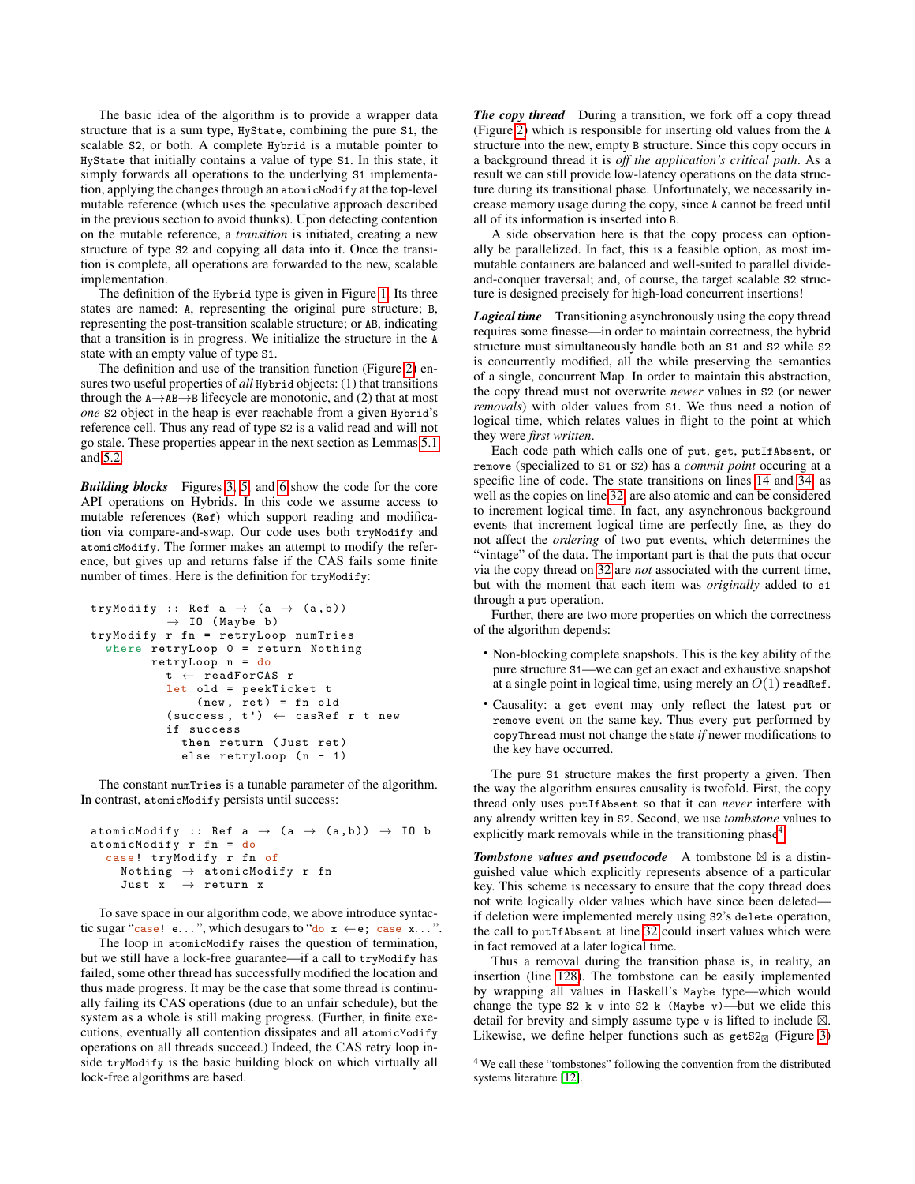The basic idea of the algorithm is to provide a wrapper data structure that is a sum type, HyState, combining the pure S1, the scalable S2, or both. A complete Hybrid is a mutable pointer to HyState that initially contains a value of type S1. In this state, it simply forwards all operations to the underlying S1 implementation, applying the changes through an atomicModify at the top-level mutable reference (which uses the speculative approach described in the previous section to avoid thunks). Upon detecting contention on the mutable reference, a *transition* is initiated, creating a new structure of type S2 and copying all data into it. Once the transition is complete, all operations are forwarded to the new, scalable implementation.

The definition of the Hybrid type is given in Figure [1.](#page-2-3) Its three states are named: A, representing the original pure structure; B, representing the post-transition scalable structure; or AB, indicating that a transition is in progress. We initialize the structure in the A state with an empty value of type S1.

The definition and use of the transition function (Figure [2\)](#page-2-0) ensures two useful properties of *all* Hybrid objects: (1) that transitions through the  $A \rightarrow AB \rightarrow B$  lifecycle are monotonic, and (2) that at most *one* S2 object in the heap is ever reachable from a given Hybrid's reference cell. Thus any read of type S2 is a valid read and will not go stale. These properties appear in the next section as Lemmas [5.1](#page-4-3) and [5.2.](#page-4-4)

*Building blocks* Figures [3,](#page-4-0) [5,](#page-4-5) and [6](#page-5-0) show the code for the core API operations on Hybrids. In this code we assume access to mutable references (Ref) which support reading and modification via compare-and-swap. Our code uses both tryModify and atomicModify. The former makes an attempt to modify the reference, but gives up and returns false if the CAS fails some finite number of times. Here is the definition for tryModify:

```
tryModify :: Ref a \rightarrow (a \rightarrow (a, b))\rightarrow IO (Maybe b)
tryModify r fn = retryLoop numTries
  where retryLoop 0 = return Nothing
         retryLoop n = do
           t \leftarrow readForCAS r
           let old = peekTicket t
                (new, ret) = fn old(success, t') \leftarrow casRef r t newif success
              then return (Just ret)
              else retryLoop (n - 1)
```
The constant numTries is a tunable parameter of the algorithm. In contrast, atomicModify persists until success:

```
atomicModify :: Ref a \rightarrow (a \rightarrow (a,b)) \rightarrow IO b
atomicModify r fn = do
  case ! tryModify r fn of
      Nothing \rightarrow atomicModify {\tt r} fn
      Just x \rightarrow return x
```
To save space in our algorithm code, we above introduce syntactic sugar "case! e...", which desugars to "do  $x \leftarrow e$ ; case  $x \dots$ "

The loop in atomicModify raises the question of termination, but we still have a lock-free guarantee—if a call to tryModify has failed, some other thread has successfully modified the location and thus made progress. It may be the case that some thread is continually failing its CAS operations (due to an unfair schedule), but the system as a whole is still making progress. (Further, in finite executions, eventually all contention dissipates and all atomicModify operations on all threads succeed.) Indeed, the CAS retry loop inside tryModify is the basic building block on which virtually all lock-free algorithms are based.

*The copy thread* During a transition, we fork off a copy thread (Figure [2\)](#page-2-0) which is responsible for inserting old values from the A structure into the new, empty B structure. Since this copy occurs in a background thread it is *off the application's critical path*. As a result we can still provide low-latency operations on the data structure during its transitional phase. Unfortunately, we necessarily increase memory usage during the copy, since A cannot be freed until all of its information is inserted into B.

A side observation here is that the copy process can optionally be parallelized. In fact, this is a feasible option, as most immutable containers are balanced and well-suited to parallel divideand-conquer traversal; and, of course, the target scalable S2 structure is designed precisely for high-load concurrent insertions!

**Logical time** Transitioning asynchronously using the copy thread requires some finesse—in order to maintain correctness, the hybrid structure must simultaneously handle both an S1 and S2 while S2 is concurrently modified, all the while preserving the semantics of a single, concurrent Map. In order to maintain this abstraction, the copy thread must not overwrite *newer* values in S2 (or newer *removals*) with older values from S1. We thus need a notion of logical time, which relates values in flight to the point at which they were *first written*.

Each code path which calls one of put, get, putIfAbsent, or remove (specialized to S1 or S2) has a *commit point* occuring at a specific line of code. The state transitions on lines [14](#page-2-4) and [34,](#page-2-5) as well as the copies on line [32,](#page-2-6) are also atomic and can be considered to increment logical time. In fact, any asynchronous background events that increment logical time are perfectly fine, as they do not affect the *ordering* of two put events, which determines the "vintage" of the data. The important part is that the puts that occur via the copy thread on [32](#page-2-6) are *not* associated with the current time, but with the moment that each item was *originally* added to s1 through a put operation.

Further, there are two more properties on which the correctness of the algorithm depends:

- Non-blocking complete snapshots. This is the key ability of the pure structure S1—we can get an exact and exhaustive snapshot at a single point in logical time, using merely an  $O(1)$  readRef.
- Causality: a get event may only reflect the latest put or remove event on the same key. Thus every put performed by copyThread must not change the state *if* newer modifications to the key have occurred.

The pure S1 structure makes the first property a given. Then the way the algorithm ensures causality is twofold. First, the copy thread only uses putIfAbsent so that it can *never* interfere with any already written key in S2. Second, we use *tombstone* values to explicitly mark removals while in the transitioning phase $4$ .

**Tombstone values and pseudocode** A tombstone  $\boxtimes$  is a distinguished value which explicitly represents absence of a particular key. This scheme is necessary to ensure that the copy thread does not write logically older values which have since been deleted if deletion were implemented merely using S2's delete operation, the call to putIfAbsent at line [32](#page-2-6) could insert values which were in fact removed at a later logical time.

Thus a removal during the transition phase is, in reality, an insertion (line [128\)](#page-5-1). The tombstone can be easily implemented by wrapping all values in Haskell's Maybe type—which would change the type  $S2 \lt k$  v into  $S2 \lt k$  (Maybe v)—but we elide this detail for brevity and simply assume type  $\nu$  is lifted to include  $\boxtimes$ . Likewise, we define helper functions such as getS2 $_{\boxtimes}$  (Figure [3\)](#page-4-0)

<span id="page-3-0"></span><sup>4</sup> We call these "tombstones" following the convention from the distributed systems literature [\[12\]](#page-11-11).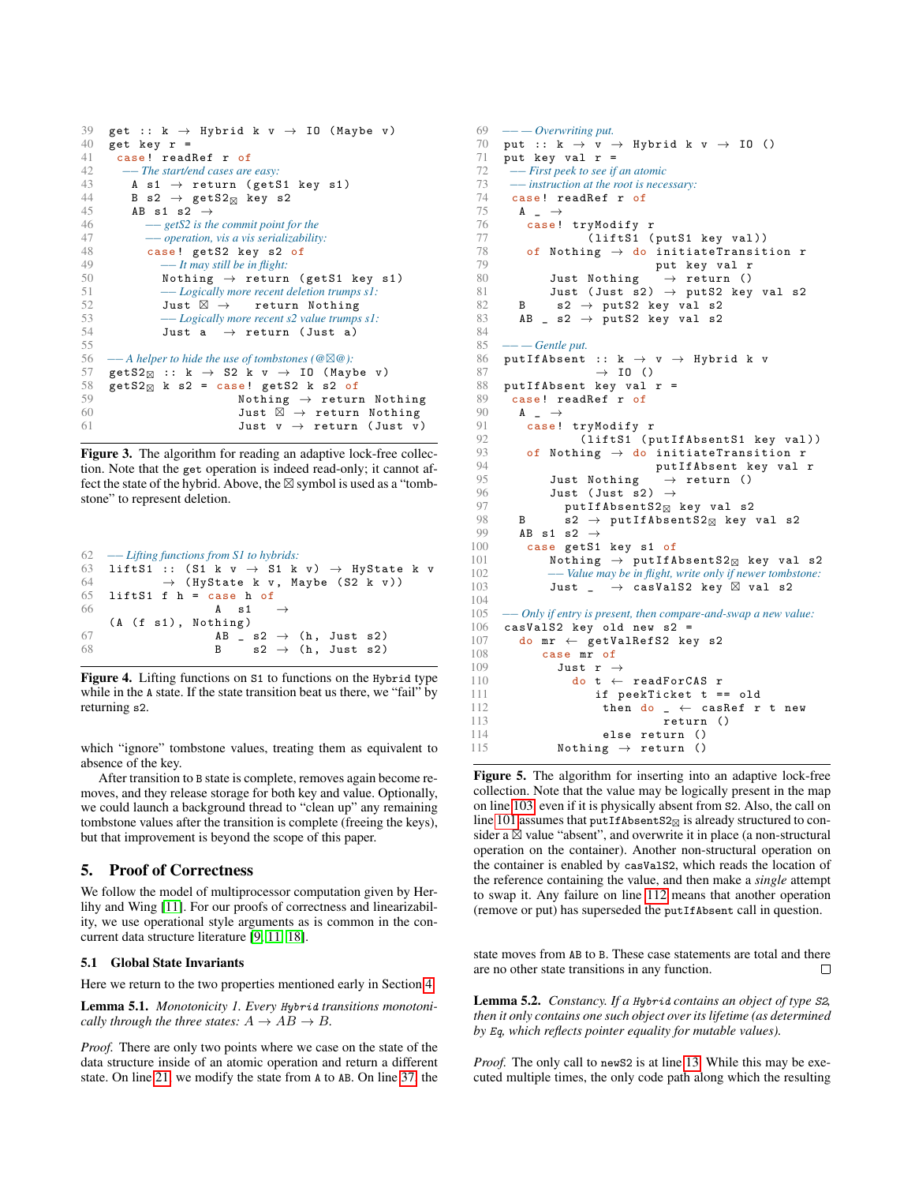<span id="page-4-10"></span><span id="page-4-9"></span><span id="page-4-2"></span><span id="page-4-1"></span>

| 39 | get :: $k \rightarrow$ Hybrid k $v \rightarrow$ IO (Maybe v)              |  |
|----|---------------------------------------------------------------------------|--|
| 40 | get key $r =$                                                             |  |
| 41 | case! readRef r of                                                        |  |
| 42 | -- The start/end cases are easy:                                          |  |
| 43 | A s1 $\rightarrow$ return (getS1 key s1)                                  |  |
| 44 | B s2 $\rightarrow$ getS2 $\boxtimes$ key s2                               |  |
| 45 | AB s1 s2 $\rightarrow$                                                    |  |
| 46 | $-\frac{1}{2}$ et S2 is the commit point for the                          |  |
| 47 | - <i>operation</i> , vis a vis serializability:                           |  |
| 48 | case! getS2 key s2 of                                                     |  |
| 49 | $--$ It may still be in flight:                                           |  |
| 50 | Nothing $\rightarrow$ return (getS1 key s1)                               |  |
| 51 | -- Logically more recent deletion trumps s1:                              |  |
| 52 | Just $\boxtimes$ $\rightarrow$ return Nothing                             |  |
| 53 | $--$ Logically more recent s2 value trumps s1:                            |  |
| 54 | Just a $\rightarrow$ return (Just a)                                      |  |
| 55 |                                                                           |  |
| 56 | $-$ A helper to hide the use of tombstones ( $@{\otimes} @$ ):            |  |
| 57 | getS2 $\overline{z}$ :: k $\rightarrow$ S2 k v $\rightarrow$ I0 (Maybe v) |  |
| 58 | $getS2\boxtimes$ k s2 = case! getS2 k s2 of                               |  |
| 59 | Nothing $\rightarrow$ return Nothing                                      |  |
| 60 | Just $\boxtimes$ $\rightarrow$ return Nothing                             |  |
| 61 | Just $v \rightarrow$ return (Just $v$ )                                   |  |
|    |                                                                           |  |

<span id="page-4-0"></span>Figure 3. The algorithm for reading an adaptive lock-free collection. Note that the get operation is indeed read-only; it cannot affect the state of the hybrid. Above, the  $\boxtimes$  symbol is used as a "tombstone" to represent deletion.

<span id="page-4-23"></span>

|    | $62 \quad -$ Lifting functions from S1 to hybrids:                   |  |  |
|----|----------------------------------------------------------------------|--|--|
|    | 63 liftS1 :: (S1 k v $\rightarrow$ S1 k v) $\rightarrow$ HyState k v |  |  |
| 64 | $\rightarrow$ (HyState k v, Maybe (S2 k v))                          |  |  |
|    | $65$ lift $S1$ f h = case h of                                       |  |  |
| 66 | A s 1 $\rightarrow$                                                  |  |  |
|    | (A (f s1), Notning)                                                  |  |  |
| 67 | AB $\,$ s2 $\rightarrow$ (h, Just s2)                                |  |  |
| 68 | B $s2 \rightarrow (h, \text{ Just } s2)$                             |  |  |

Figure 4. Lifting functions on S1 to functions on the Hybrid type while in the A state. If the state transition beat us there, we "fail" by returning s2.

which "ignore" tombstone values, treating them as equivalent to absence of the key.

After transition to B state is complete, removes again become removes, and they release storage for both key and value. Optionally, we could launch a background thread to "clean up" any remaining tombstone values after the transition is complete (freeing the keys), but that improvement is beyond the scope of this paper.

## 5. Proof of Correctness

We follow the model of multiprocessor computation given by Herlihy and Wing [\[11\]](#page-11-12). For our proofs of correctness and linearizability, we use operational style arguments as is common in the concurrent data structure literature [\[9,](#page-11-2) [11,](#page-11-12) [18\]](#page-11-3).

#### 5.1 Global State Invariants

Here we return to the two properties mentioned early in Section [4.](#page-2-1)

<span id="page-4-3"></span>Lemma 5.1. *Monotonicity 1. Every* Hybrid *transitions monotonically through the three states:*  $A \rightarrow AB \rightarrow B$ .

*Proof.* There are only two points where we case on the state of the data structure inside of an atomic operation and return a different state. On line [21,](#page-2-7) we modify the state from A to AB. On line [37,](#page-2-8) the

```
69 −− — Overwriting put.
 70 put :: k \rightarrow v \rightarrow Hybrid k v \rightarrow IO ()<br>71 put kev val r =
 71 put key val r =<br>72 — First peek to see if
         72 −− First peek to see if an atomic
 73 —— instruction at the root is necessary:<br>74 case! readRef r of
 74 case! readRef r of<br>75 \uparrow \uparrowA \rightarrow\frac{76}{77} case! tryModify r<br>\frac{77}{77} (liftS1 (
                         (liftS1 (putS1 key val))
 78 of Nothing \rightarrow do initiateTransition r<br>79 put key yal r
                                       79 put key val r
 80 Just Nothing \rightarrow return ()
 81 Just (Just s2) \rightarrow putS2 key val s2
 82 B s2 \rightarrow \text{putS2 key val } s283 AB = s2 \rightarrow putS2 key val s2
 84
 85 −− — Gentle put.
       putIfAbsent :: k \rightarrow v \rightarrow Hybrid k v
 87 \rightarrow 10 ()<br>88 \text{ nntIfAbsent kev val}88 putIfAbsent key val r =<br>89 case! readRef r of
 89 case! readRef r of<br>90 \uparrow \uparrow90 A \rightarrow<br>91 Casel
 91 case! tryModify r<br>92 (liftS1 (p
 92 (liftS1 (putIfAbsents1 key val))<br>93 of Nothing \rightarrow do initiate Transition r
 93 of Nothing \rightarrow do initiateTransition r<br>94 putIfAbsent key val
 94 putIfAbsent key val r \begin{array}{ccc} 94 & \text{putIfAbsent key val r} \\ 95 & \text{Just Nothing } \rightarrow \text{return } \end{array}Just Nothing \rightarrow return ()
 96 Just (Just s2) \rightarrow<br>97 putIfAbsentS2<sub>\varpi</sub>
 97 putIfAbsentS2_{\boxtimes} key val s2
 98 B s2 \rightarrow \texttt{putIfAbsentS2}_{\boxtimes} key val s2
 99 AB s1 s2 \rightarrow100 case getS1 key s1 of
101 Nothing \rightarrow putIfAbsentS2_{\boxtimes} key val s2
102 −− Value may be in flight, write only if newer tombstone:
103 Just _ \rightarrow casValS2 key \boxtimes val s2
104
105 −− Only if entry is present, then compare-and-swap a new value:
106 casValS2 key old new s2 =
107 do mr \leftarrow getValRefS2 key s2
108 case mr of 109 Just r -109 Just r \rightarrow 110 do t \leftarrow110 do t \leftarrow readForCAS r<br>111 if peekTicket t =
111 \qquad \qquad if peekTicket t == old<br>112 \qquad \qquad then do _ \qquad cashef r
112 then do \leftarrow casRef r t new<br>113 return ()
113 return ()<br>114 else return ()
114 else return ()<br>115 Mothing \rightarrow return ()
                  Nothing \rightarrow return ()
```
<span id="page-4-22"></span><span id="page-4-21"></span><span id="page-4-20"></span><span id="page-4-18"></span><span id="page-4-8"></span><span id="page-4-7"></span><span id="page-4-6"></span><span id="page-4-5"></span>Figure 5. The algorithm for inserting into an adaptive lock-free collection. Note that the value may be logically present in the map on line [103,](#page-4-6) even if it is physically absent from S2. Also, the call on line [101](#page-4-7) assumes that  $\texttt{putIfAsentS2}_{\boxtimes}$  is already structured to consider a  $\boxtimes$  value "absent", and overwrite it in place (a non-structural operation on the container). Another non-structural operation on the container is enabled by casValS2, which reads the location of the reference containing the value, and then make a *single* attempt to swap it. Any failure on line [112](#page-4-8) means that another operation (remove or put) has superseded the putIfAbsent call in question.

state moves from AB to B. These case statements are total and there are no other state transitions in any function. П

<span id="page-4-4"></span>Lemma 5.2. *Constancy. If a* Hybrid *contains an object of type* S2*, then it only contains one such object over its lifetime (as determined by* Eq*, which reflects pointer equality for mutable values).*

*Proof.* The only call to new S2 is at line [13.](#page-2-9) While this may be executed multiple times, the only code path along which the resulting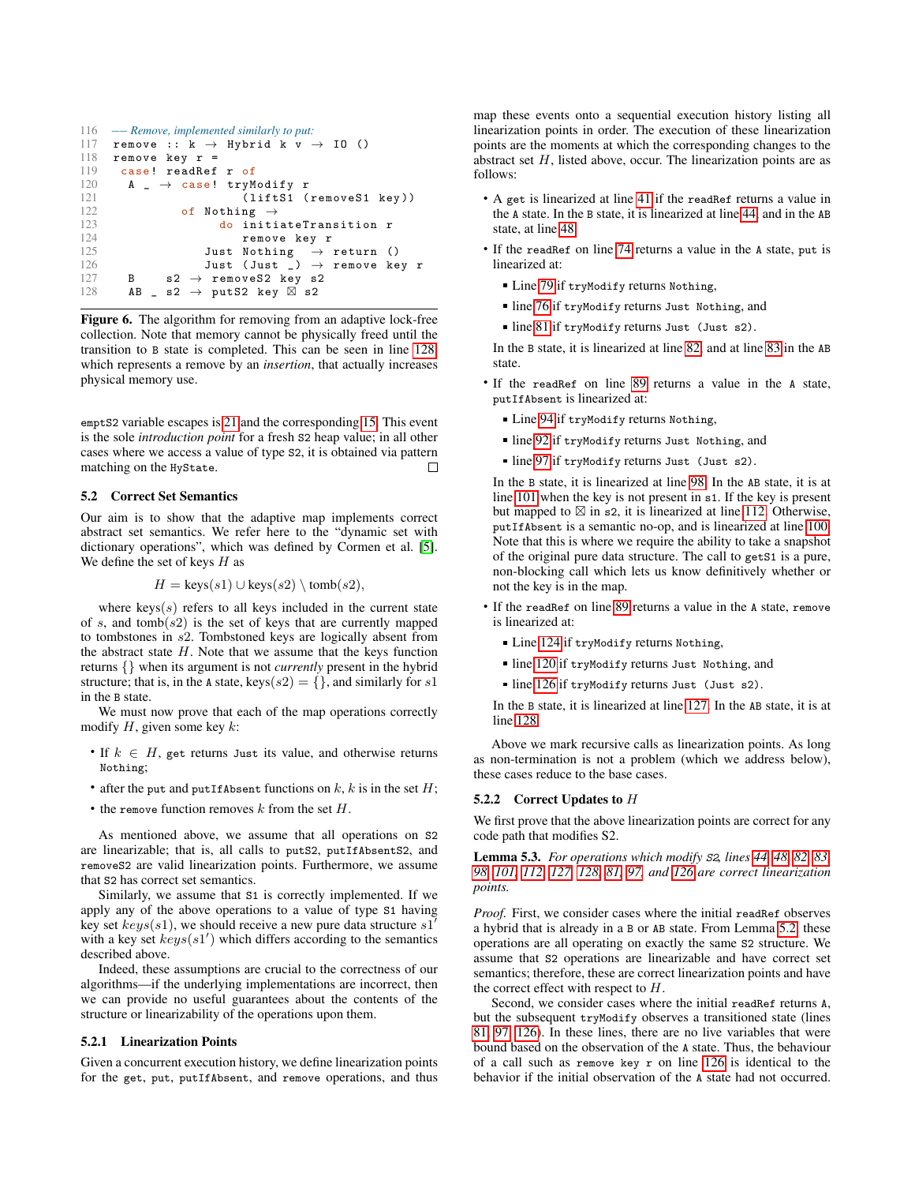```
116 −− Remove, implemented similarly to put:
117 remove :: k \rightarrow Hybrid k v \rightarrow IO ()<br>118 remove kev r =
118 remove key r =<br>119 case! readRef
119 case! readRef r of<br>120 A \rightarrow case! trvM
120 A - \rightarrow case! tryModify r<br>121 (liftS1 (
                               (liftS1 (removeS1 key))
122 of Nothing \rightarrow123 do initiateTransition r
124 remove key r
125 Just Nothing \rightarrow return ()<br>126 Just (Just ) \rightarrow remove ke
                       Just (Just \bigcup) \rightarrow remove key r
127 B s2 \rightarrow remove S2 key s2
128 AB = s2 \rightarrow putS2 key \overline{\boxtimes} s2
```
<span id="page-5-5"></span><span id="page-5-4"></span><span id="page-5-2"></span><span id="page-5-1"></span><span id="page-5-0"></span>Figure 6. The algorithm for removing from an adaptive lock-free collection. Note that memory cannot be physically freed until the transition to B state is completed. This can be seen in line [128,](#page-5-1) which represents a remove by an *insertion*, that actually increases physical memory use.

emptS2 variable escapes is [21](#page-2-7) and the corresponding [15.](#page-2-10) This event is the sole *introduction point* for a fresh S2 heap value; in all other cases where we access a value of type S2, it is obtained via pattern matching on the HyState. П

## 5.2 Correct Set Semantics

Our aim is to show that the adaptive map implements correct abstract set semantics. We refer here to the "dynamic set with dictionary operations", which was defined by Cormen et al. [\[5\]](#page-11-13). We define the set of keys  $H$  as

$$
H = \text{keys}(s1) \cup \text{keys}(s2) \setminus \text{tomb}(s2),
$$

where keys $(s)$  refers to all keys included in the current state of s, and  $tanh(s2)$  is the set of keys that are currently mapped to tombstones in s2. Tombstoned keys are logically absent from the abstract state  $H$ . Note that we assume that the keys function returns {} when its argument is not *currently* present in the hybrid structure; that is, in the A state, keys $(s2) = \{\}$ , and similarly for s1 in the B state.

We must now prove that each of the map operations correctly modify  $H$ , given some key  $k$ :

- If  $k \in H$ , get returns Just its value, and otherwise returns Nothing;
- after the put and putIfAbsent functions on  $k$ ,  $k$  is in the set  $H$ ;
- the remove function removes  $k$  from the set  $H$ .

As mentioned above, we assume that all operations on S2 are linearizable; that is, all calls to putS2, putIfAbsentS2, and removeS2 are valid linearization points. Furthermore, we assume that S2 has correct set semantics.

Similarly, we assume that S1 is correctly implemented. If we apply any of the above operations to a value of type S1 having key set  $keys(s1)$ , we should receive a new pure data structure  $s1'$ with a key set  $keys(s1')$  which differs according to the semantics described above.

Indeed, these assumptions are crucial to the correctness of our algorithms—if the underlying implementations are incorrect, then we can provide no useful guarantees about the contents of the structure or linearizability of the operations upon them.

# 5.2.1 Linearization Points

Given a concurrent execution history, we define linearization points for the get, put, putIfAbsent, and remove operations, and thus map these events onto a sequential execution history listing all linearization points in order. The execution of these linearization points are the moments at which the corresponding changes to the abstract set  $H$ , listed above, occur. The linearization points are as follows:

- A get is linearized at line [41](#page-4-9) if the readRef returns a value in the A state. In the B state, it is linearized at line [44,](#page-4-2) and in the AB state, at line [48.](#page-4-10)
- If the readRef on line [74](#page-4-11) returns a value in the A state, put is linearized at:
	- Line [79](#page-4-12) if tryModify returns Nothing,
	- line [76](#page-4-13) if tryModify returns Just Nothing, and
	- line [81](#page-4-14) if tryModify returns Just (Just s2).

In the B state, it is linearized at line [82,](#page-4-15) and at line [83](#page-4-16) in the AB state.

- If the readRef on line [89](#page-4-17) returns a value in the A state, putIfAbsent is linearized at:
	- Line [94](#page-4-18) if tryModify returns Nothing,
	- line [92](#page-4-19) if tryModify returns Just Nothing, and
	- line [97](#page-4-20) if tryModify returns Just (Just s2).

In the B state, it is linearized at line [98.](#page-4-21) In the AB state, it is at line [101](#page-4-7) when the key is not present in s1. If the key is present but mapped to  $\boxtimes$  in s2, it is linearized at line [112.](#page-4-8) Otherwise, putIfAbsent is a semantic no-op, and is linearized at line [100.](#page-4-22) Note that this is where we require the ability to take a snapshot of the original pure data structure. The call to getS1 is a pure, non-blocking call which lets us know definitively whether or not the key is in the map.

- If the readRef on line [89](#page-4-17) returns a value in the A state, remove is linearized at:
	- Line [124](#page-5-2) if tryModify returns Nothing,
	- line [120](#page-5-3) if tryModify returns Just Nothing, and
	- line [126](#page-5-4) if tryModify returns Just (Just s2).

In the B state, it is linearized at line [127.](#page-5-5) In the AB state, it is at line [128.](#page-5-1)

Above we mark recursive calls as linearization points. As long as non-termination is not a problem (which we address below), these cases reduce to the base cases.

#### 5.2.2 Correct Updates to H

We first prove that the above linearization points are correct for any code path that modifies S2.

<span id="page-5-6"></span>Lemma 5.3. *For operations which modify* S2*, lines [44,](#page-4-2) [48,](#page-4-10) [82,](#page-4-15) [83,](#page-4-16) [98,](#page-4-21) [101,](#page-4-7) [112,](#page-4-8) [127,](#page-5-5) [128,](#page-5-1) [81,](#page-4-14) [97,](#page-4-20) and [126](#page-5-4) are correct linearization points.*

*Proof.* First, we consider cases where the initial readRef observes a hybrid that is already in a B or AB state. From Lemma [5.2,](#page-4-4) these operations are all operating on exactly the same S2 structure. We assume that S2 operations are linearizable and have correct set semantics; therefore, these are correct linearization points and have the correct effect with respect to  $H$ .

Second, we consider cases where the initial readRef returns A, but the subsequent tryModify observes a transitioned state (lines [81,](#page-4-14) [97,](#page-4-20) [126\)](#page-5-4). In these lines, there are no live variables that were bound based on the observation of the A state. Thus, the behaviour of a call such as remove key r on line [126](#page-5-4) is identical to the behavior if the initial observation of the A state had not occurred.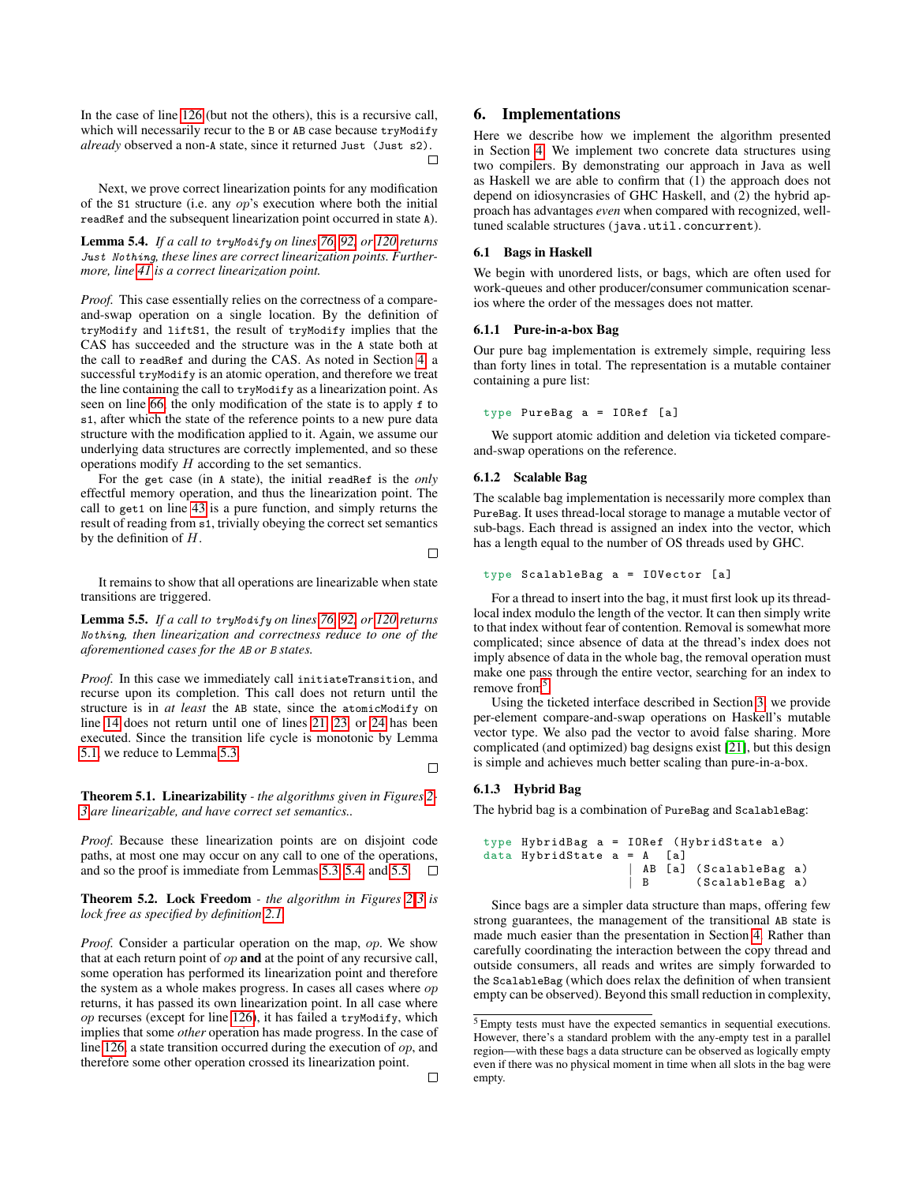In the case of line [126](#page-5-4) (but not the others), this is a recursive call, which will necessarily recur to the B or AB case because tryModify *already* observed a non-A state, since it returned Just (Just s2). П

Next, we prove correct linearization points for any modification of the S1 structure (i.e. any op's execution where both the initial readRef and the subsequent linearization point occurred in state A).

<span id="page-6-0"></span>Lemma 5.4. *If a call to* tryModify *on lines [76,](#page-4-13) [92,](#page-4-19) or [120](#page-5-3) returns* Just Nothing*, these lines are correct linearization points. Furthermore, line [41](#page-4-9) is a correct linearization point.*

*Proof.* This case essentially relies on the correctness of a compareand-swap operation on a single location. By the definition of tryModify and liftS1, the result of tryModify implies that the CAS has succeeded and the structure was in the A state both at the call to readRef and during the CAS. As noted in Section [4,](#page-2-1) a successful tryModify is an atomic operation, and therefore we treat the line containing the call to tryModify as a linearization point. As seen on line [66,](#page-4-23) the only modification of the state is to apply f to s1, after which the state of the reference points to a new pure data structure with the modification applied to it. Again, we assume our underlying data structures are correctly implemented, and so these operations modify  $H$  according to the set semantics.

For the get case (in A state), the initial readRef is the *only* effectful memory operation, and thus the linearization point. The call to get1 on line [43](#page-4-1) is a pure function, and simply returns the result of reading from s1, trivially obeying the correct set semantics by the definition of  $H$ .

 $\Box$ 

It remains to show that all operations are linearizable when state transitions are triggered.

<span id="page-6-1"></span>Lemma 5.5. *If a call to* tryModify *on lines [76,](#page-4-13) [92,](#page-4-19) or [120](#page-5-3) returns* Nothing*, then linearization and correctness reduce to one of the aforementioned cases for the* AB *or* B *states.*

*Proof.* In this case we immediately call initiateTransition, and recurse upon its completion. This call does not return until the structure is in *at least* the AB state, since the atomicModify on line [14](#page-2-4) does not return until one of lines [21,](#page-2-7) [23,](#page-2-11) or [24](#page-2-12) has been executed. Since the transition life cycle is monotonic by Lemma [5.1,](#page-4-3) we reduce to Lemma [5.3.](#page-5-6)

П

Theorem 5.1. Linearizability *- the algorithms given in Figures [2-](#page-2-0) [3](#page-4-0) are linearizable, and have correct set semantics..*

*Proof.* Because these linearization points are on disjoint code paths, at most one may occur on any call to one of the operations, and so the proof is immediate from Lemmas [5.3,](#page-5-6) [5.4,](#page-6-0) and [5.5.](#page-6-1)  $\Box$ 

Theorem 5.2. Lock Freedom *- the algorithm in Figures [2](#page-2-0)[-3](#page-4-0) is lock free as specified by definition [2.1.](#page-1-2)*

*Proof.* Consider a particular operation on the map, op. We show that at each return point of  $op$  and at the point of any recursive call, some operation has performed its linearization point and therefore the system as a whole makes progress. In cases all cases where op returns, it has passed its own linearization point. In all case where  $op$  recurses (except for line [126\)](#page-5-4), it has failed a tryModify, which implies that some *other* operation has made progress. In the case of line [126,](#page-5-4) a state transition occurred during the execution of  $op$ , and therefore some other operation crossed its linearization point.

# 6. Implementations

Here we describe how we implement the algorithm presented in Section [4.](#page-2-1) We implement two concrete data structures using two compilers. By demonstrating our approach in Java as well as Haskell we are able to confirm that (1) the approach does not depend on idiosyncrasies of GHC Haskell, and (2) the hybrid approach has advantages *even* when compared with recognized, welltuned scalable structures (java.util.concurrent).

## <span id="page-6-3"></span>6.1 Bags in Haskell

We begin with unordered lists, or bags, which are often used for work-queues and other producer/consumer communication scenarios where the order of the messages does not matter.

#### 6.1.1 Pure-in-a-box Bag

Our pure bag implementation is extremely simple, requiring less than forty lines in total. The representation is a mutable container containing a pure list:

type PureBag a = IORef [a]

We support atomic addition and deletion via ticketed compareand-swap operations on the reference.

#### 6.1.2 Scalable Bag

The scalable bag implementation is necessarily more complex than PureBag. It uses thread-local storage to manage a mutable vector of sub-bags. Each thread is assigned an index into the vector, which has a length equal to the number of OS threads used by GHC.

#### type ScalableBag a = IOVector [a]

For a thread to insert into the bag, it must first look up its threadlocal index modulo the length of the vector. It can then simply write to that index without fear of contention. Removal is somewhat more complicated; since absence of data at the thread's index does not imply absence of data in the whole bag, the removal operation must make one pass through the entire vector, searching for an index to remove from<sup>[5](#page-6-2)</sup>.

Using the ticketed interface described in Section [3,](#page-1-0) we provide per-element compare-and-swap operations on Haskell's mutable vector type. We also pad the vector to avoid false sharing. More complicated (and optimized) bag designs exist [\[21\]](#page-11-14), but this design is simple and achieves much better scaling than pure-in-a-box.

## 6.1.3 Hybrid Bag

The hybrid bag is a combination of PureBag and ScalableBag:

```
type HybridBag a = IORef ( HybridState a)
data HybridState a = A [a]
                    AB [a] (ScalableBag a)
                    B (ScalableBag a)
```
Since bags are a simpler data structure than maps, offering few strong guarantees, the management of the transitional AB state is made much easier than the presentation in Section [4.](#page-2-1) Rather than carefully coordinating the interaction between the copy thread and outside consumers, all reads and writes are simply forwarded to the ScalableBag (which does relax the definition of when transient empty can be observed). Beyond this small reduction in complexity,

<span id="page-6-2"></span><sup>5</sup> Empty tests must have the expected semantics in sequential executions. However, there's a standard problem with the any-empty test in a parallel region—with these bags a data structure can be observed as logically empty even if there was no physical moment in time when all slots in the bag were empty.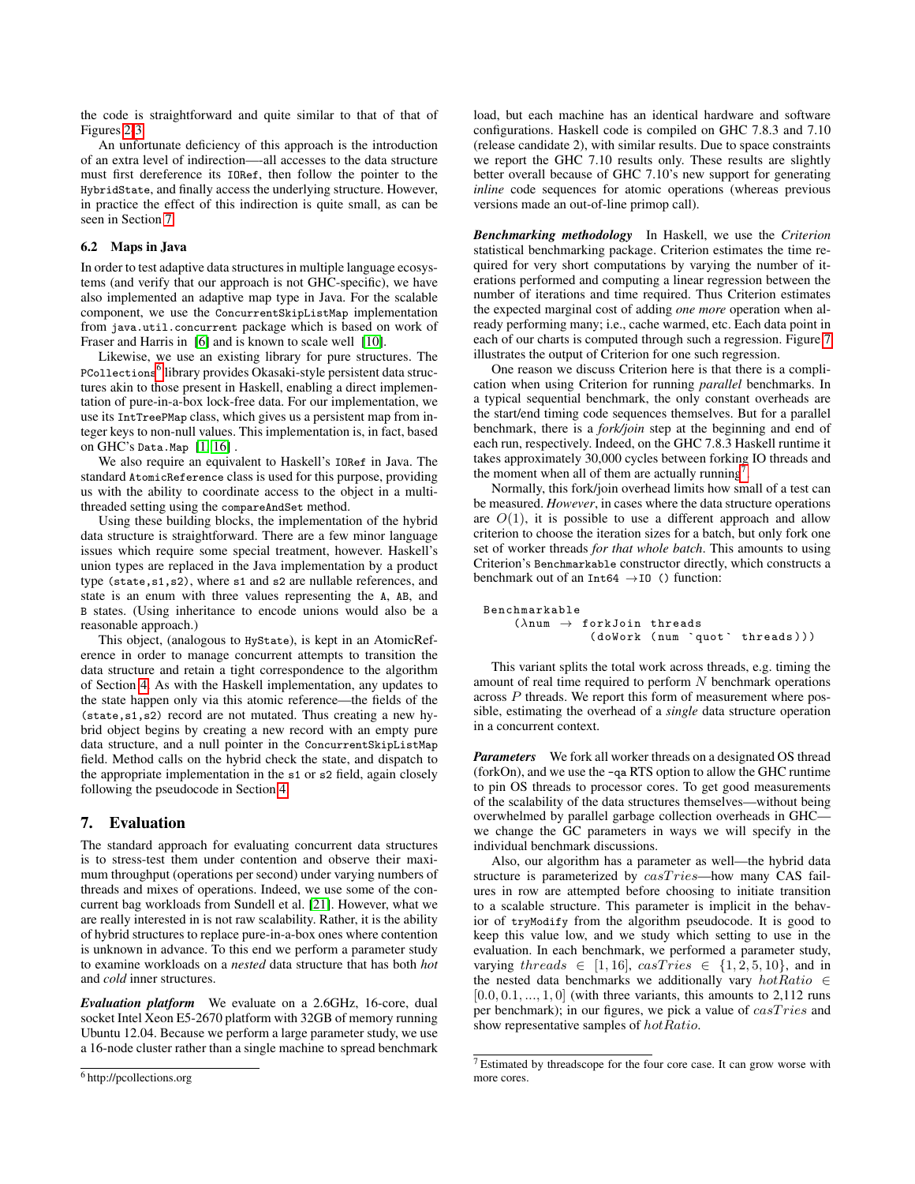the code is straightforward and quite similar to that of that of Figures [2-](#page-2-0)[3.](#page-4-0)

An unfortunate deficiency of this approach is the introduction of an extra level of indirection—-all accesses to the data structure must first dereference its IORef, then follow the pointer to the HybridState, and finally access the underlying structure. However, in practice the effect of this indirection is quite small, as can be seen in Section [7.](#page-7-0)

## <span id="page-7-3"></span>6.2 Maps in Java

In order to test adaptive data structures in multiple language ecosystems (and verify that our approach is not GHC-specific), we have also implemented an adaptive map type in Java. For the scalable component, we use the ConcurrentSkipListMap implementation from java.util.concurrent package which is based on work of Fraser and Harris in [\[6\]](#page-11-15) and is known to scale well [\[10\]](#page-11-16).

Likewise, we use an existing library for pure structures. The PCollections<sup>[6](#page-7-1)</sup> library provides Okasaki-style persistent data structures akin to those present in Haskell, enabling a direct implementation of pure-in-a-box lock-free data. For our implementation, we use its IntTreePMap class, which gives us a persistent map from integer keys to non-null values. This implementation is, in fact, based on GHC's Data.Map [\[1,](#page-11-17) [16\]](#page-11-18) .

We also require an equivalent to Haskell's IORef in Java. The standard AtomicReference class is used for this purpose, providing us with the ability to coordinate access to the object in a multithreaded setting using the compareAndSet method.

Using these building blocks, the implementation of the hybrid data structure is straightforward. There are a few minor language issues which require some special treatment, however. Haskell's union types are replaced in the Java implementation by a product type (state,s1,s2), where s1 and s2 are nullable references, and state is an enum with three values representing the A, AB, and B states. (Using inheritance to encode unions would also be a reasonable approach.)

This object, (analogous to HyState), is kept in an AtomicReference in order to manage concurrent attempts to transition the data structure and retain a tight correspondence to the algorithm of Section [4.](#page-2-1) As with the Haskell implementation, any updates to the state happen only via this atomic reference—the fields of the (state,s1,s2) record are not mutated. Thus creating a new hybrid object begins by creating a new record with an empty pure data structure, and a null pointer in the ConcurrentSkipListMap field. Method calls on the hybrid check the state, and dispatch to the appropriate implementation in the s1 or s2 field, again closely following the pseudocode in Section [4.](#page-2-1)

# <span id="page-7-0"></span>7. Evaluation

The standard approach for evaluating concurrent data structures is to stress-test them under contention and observe their maximum throughput (operations per second) under varying numbers of threads and mixes of operations. Indeed, we use some of the concurrent bag workloads from Sundell et al. [\[21\]](#page-11-14). However, what we are really interested in is not raw scalability. Rather, it is the ability of hybrid structures to replace pure-in-a-box ones where contention is unknown in advance. To this end we perform a parameter study to examine workloads on a *nested* data structure that has both *hot* and *cold* inner structures.

*Evaluation platform* We evaluate on a 2.6GHz, 16-core, dual socket Intel Xeon E5-2670 platform with 32GB of memory running Ubuntu 12.04. Because we perform a large parameter study, we use a 16-node cluster rather than a single machine to spread benchmark load, but each machine has an identical hardware and software configurations. Haskell code is compiled on GHC 7.8.3 and 7.10 (release candidate 2), with similar results. Due to space constraints we report the GHC 7.10 results only. These results are slightly better overall because of GHC 7.10's new support for generating *inline* code sequences for atomic operations (whereas previous versions made an out-of-line primop call).

*Benchmarking methodology* In Haskell, we use the *Criterion* statistical benchmarking package. Criterion estimates the time required for very short computations by varying the number of iterations performed and computing a linear regression between the number of iterations and time required. Thus Criterion estimates the expected marginal cost of adding *one more* operation when already performing many; i.e., cache warmed, etc. Each data point in each of our charts is computed through such a regression. Figure [7](#page-8-0) illustrates the output of Criterion for one such regression.

One reason we discuss Criterion here is that there is a complication when using Criterion for running *parallel* benchmarks. In a typical sequential benchmark, the only constant overheads are the start/end timing code sequences themselves. But for a parallel benchmark, there is a *fork/join* step at the beginning and end of each run, respectively. Indeed, on the GHC 7.8.3 Haskell runtime it takes approximately 30,000 cycles between forking IO threads and the moment when all of them are actually running<sup>[7](#page-7-2)</sup>.

Normally, this fork/join overhead limits how small of a test can be measured. *However*, in cases where the data structure operations are  $O(1)$ , it is possible to use a different approach and allow criterion to choose the iteration sizes for a batch, but only fork one set of worker threads *for that whole batch*. This amounts to using Criterion's Benchmarkable constructor directly, which constructs a benchmark out of an Int64  $\rightarrow$  I0 () function:

```
Benchmarkable
     (\lambdanum \rightarrow forkJoin threads
                 (doWork (num 'quot' threads)))
```
This variant splits the total work across threads, e.g. timing the amount of real time required to perform  $N$  benchmark operations across P threads. We report this form of measurement where possible, estimating the overhead of a *single* data structure operation in a concurrent context.

*Parameters* We fork all worker threads on a designated OS thread (forkOn), and we use the -qa RTS option to allow the GHC runtime to pin OS threads to processor cores. To get good measurements of the scalability of the data structures themselves—without being overwhelmed by parallel garbage collection overheads in GHC we change the GC parameters in ways we will specify in the individual benchmark discussions.

Also, our algorithm has a parameter as well—the hybrid data structure is parameterized by  $casTries$ —how many CAS failures in row are attempted before choosing to initiate transition to a scalable structure. This parameter is implicit in the behavior of tryModify from the algorithm pseudocode. It is good to keep this value low, and we study which setting to use in the evaluation. In each benchmark, we performed a parameter study, varying threads  $\in$  [1, 16], casTries  $\in$  {1, 2, 5, 10}, and in the nested data benchmarks we additionally vary  $hotRatio \in$  $[0.0, 0.1, ..., 1, 0]$  (with three variants, this amounts to 2,112 runs per benchmark); in our figures, we pick a value of  $casTries$  and show representative samples of  $hotRatio$ .

<span id="page-7-1"></span><sup>6</sup> http://pcollections.org

<span id="page-7-2"></span><sup>7</sup> Estimated by threadscope for the four core case. It can grow worse with more cores.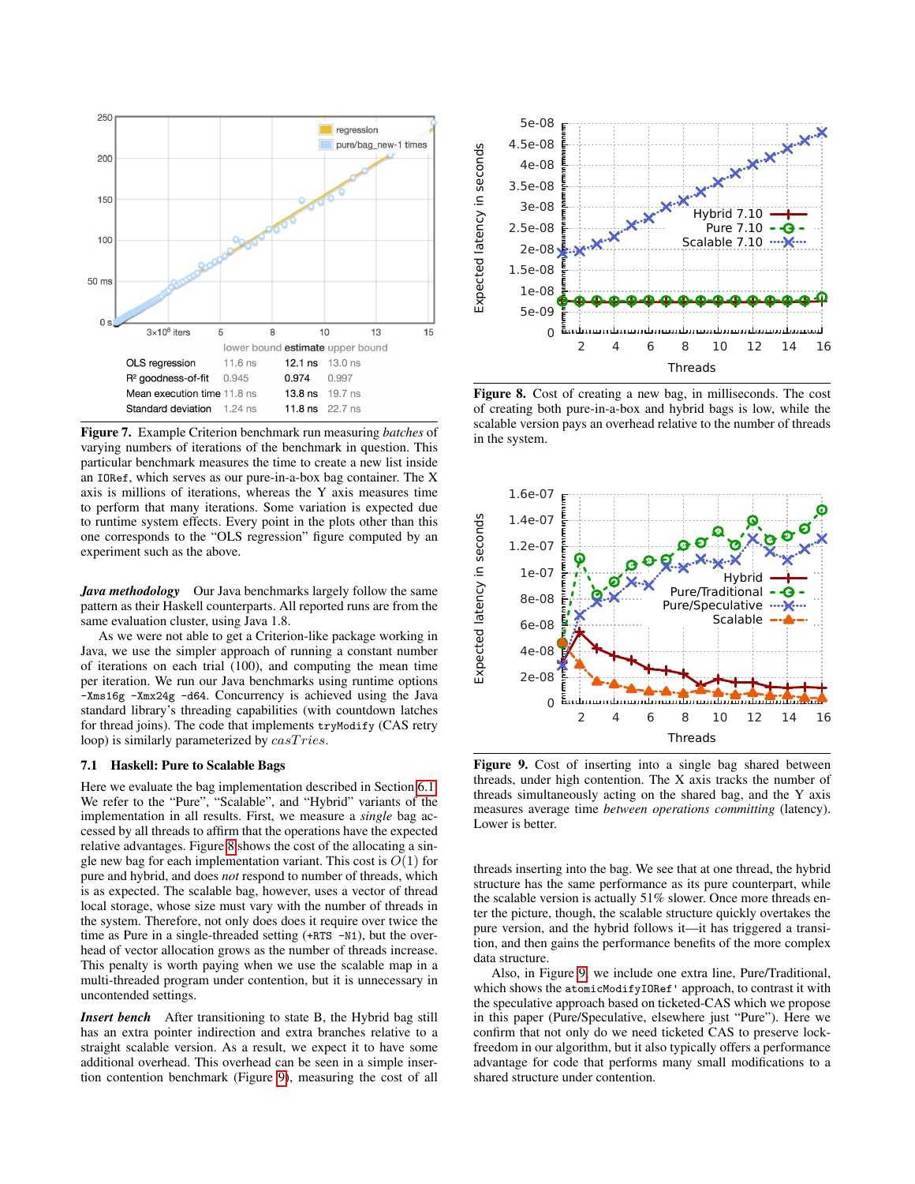

<span id="page-8-0"></span>Figure 7. Example Criterion benchmark run measuring *batches* of varying numbers of iterations of the benchmark in question. This particular benchmark measures the time to create a new list inside an IORef, which serves as our pure-in-a-box bag container. The X axis is millions of iterations, whereas the Y axis measures time to perform that many iterations. Some variation is expected due to runtime system effects. Every point in the plots other than this one corresponds to the "OLS regression" figure computed by an experiment such as the above.

*Java methodology* Our Java benchmarks largely follow the same pattern as their Haskell counterparts. All reported runs are from the same evaluation cluster, using Java 1.8.

As we were not able to get a Criterion-like package working in Java, we use the simpler approach of running a constant number of iterations on each trial (100), and computing the mean time per iteration. We run our Java benchmarks using runtime options -Xms16g -Xmx24g -d64. Concurrency is achieved using the Java standard library's threading capabilities (with countdown latches for thread joins). The code that implements tryModify (CAS retry loop) is similarly parameterized by  $casTries$ .

#### <span id="page-8-3"></span>7.1 Haskell: Pure to Scalable Bags

Here we evaluate the bag implementation described in Section [6.1.](#page-6-3) We refer to the "Pure", "Scalable", and "Hybrid" variants of the implementation in all results. First, we measure a *single* bag accessed by all threads to affirm that the operations have the expected relative advantages. Figure [8](#page-8-1) shows the cost of the allocating a single new bag for each implementation variant. This cost is  $O(1)$  for pure and hybrid, and does *not* respond to number of threads, which is as expected. The scalable bag, however, uses a vector of thread local storage, whose size must vary with the number of threads in the system. Therefore, not only does does it require over twice the time as Pure in a single-threaded setting (+RTS -N1), but the overhead of vector allocation grows as the number of threads increase. This penalty is worth paying when we use the scalable map in a multi-threaded program under contention, but it is unnecessary in uncontended settings.

*Insert bench* After transitioning to state B, the Hybrid bag still has an extra pointer indirection and extra branches relative to a straight scalable version. As a result, we expect it to have some additional overhead. This overhead can be seen in a simple insertion contention benchmark (Figure [9\)](#page-8-2), measuring the cost of all



<span id="page-8-1"></span>Figure 8. Cost of creating a new bag, in milliseconds. The cost of creating both pure-in-a-box and hybrid bags is low, while the scalable version pays an overhead relative to the number of threads in the system.



<span id="page-8-2"></span>Figure 9. Cost of inserting into a single bag shared between threads, under high contention. The X axis tracks the number of threads simultaneously acting on the shared bag, and the Y axis measures average time *between operations committing* (latency). Lower is better.

threads inserting into the bag. We see that at one thread, the hybrid structure has the same performance as its pure counterpart, while the scalable version is actually 51% slower. Once more threads enter the picture, though, the scalable structure quickly overtakes the pure version, and the hybrid follows it—it has triggered a transition, and then gains the performance benefits of the more complex data structure.

Also, in Figure [9,](#page-8-2) we include one extra line, Pure/Traditional, which shows the atomicModifyIORef' approach, to contrast it with the speculative approach based on ticketed-CAS which we propose in this paper (Pure/Speculative, elsewhere just "Pure"). Here we confirm that not only do we need ticketed CAS to preserve lockfreedom in our algorithm, but it also typically offers a performance advantage for code that performs many small modifications to a shared structure under contention.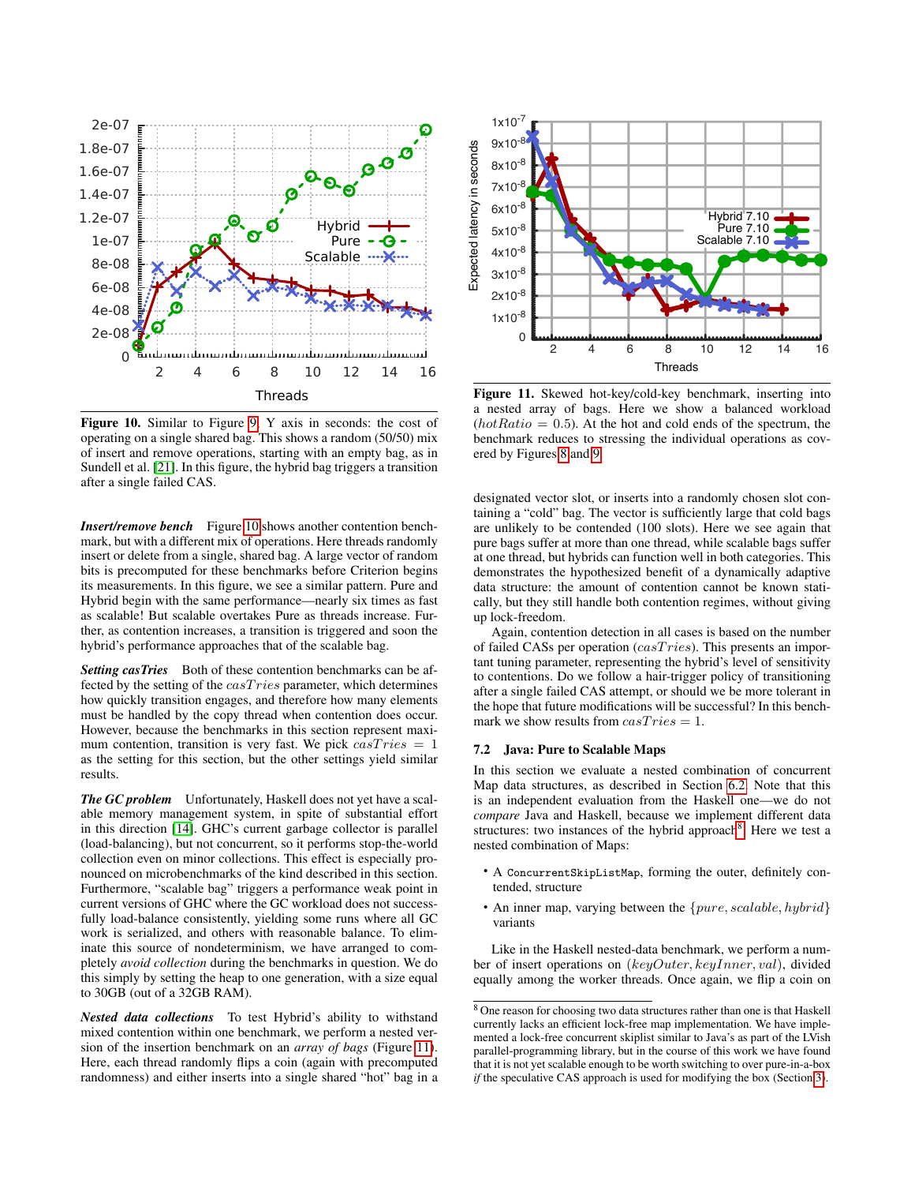

<span id="page-9-0"></span>Figure 10. Similar to Figure [9,](#page-8-2) Y axis in seconds: the cost of operating on a single shared bag. This shows a random (50/50) mix of insert and remove operations, starting with an empty bag, as in Sundell et al. [\[21\]](#page-11-14). In this figure, the hybrid bag triggers a transition after a single failed CAS.

*Insert/remove bench* Figure [10](#page-9-0) shows another contention benchmark, but with a different mix of operations. Here threads randomly insert or delete from a single, shared bag. A large vector of random bits is precomputed for these benchmarks before Criterion begins its measurements. In this figure, we see a similar pattern. Pure and Hybrid begin with the same performance—nearly six times as fast as scalable! But scalable overtakes Pure as threads increase. Further, as contention increases, a transition is triggered and soon the hybrid's performance approaches that of the scalable bag.

**Setting casTries** Both of these contention benchmarks can be affected by the setting of the  $casTries$  parameter, which determines how quickly transition engages, and therefore how many elements must be handled by the copy thread when contention does occur. However, because the benchmarks in this section represent maximum contention, transition is very fast. We pick  $casTries = 1$ as the setting for this section, but the other settings yield similar results.

*The GC problem* Unfortunately, Haskell does not yet have a scalable memory management system, in spite of substantial effort in this direction [\[14\]](#page-11-19). GHC's current garbage collector is parallel (load-balancing), but not concurrent, so it performs stop-the-world collection even on minor collections. This effect is especially pronounced on microbenchmarks of the kind described in this section. Furthermore, "scalable bag" triggers a performance weak point in current versions of GHC where the GC workload does not successfully load-balance consistently, yielding some runs where all GC work is serialized, and others with reasonable balance. To eliminate this source of nondeterminism, we have arranged to completely *avoid collection* during the benchmarks in question. We do this simply by setting the heap to one generation, with a size equal to 30GB (out of a 32GB RAM).

*Nested data collections* To test Hybrid's ability to withstand mixed contention within one benchmark, we perform a nested version of the insertion benchmark on an *array of bags* (Figure [11\)](#page-9-1). Here, each thread randomly flips a coin (again with precomputed randomness) and either inserts into a single shared "hot" bag in a



<span id="page-9-1"></span>Figure 11. Skewed hot-key/cold-key benchmark, inserting into a nested array of bags. Here we show a balanced workload  $(hotRatio = 0.5)$ . At the hot and cold ends of the spectrum, the benchmark reduces to stressing the individual operations as covered by Figures [8](#page-8-1) and [9.](#page-8-2)

designated vector slot, or inserts into a randomly chosen slot containing a "cold" bag. The vector is sufficiently large that cold bags are unlikely to be contended (100 slots). Here we see again that pure bags suffer at more than one thread, while scalable bags suffer at one thread, but hybrids can function well in both categories. This demonstrates the hypothesized benefit of a dynamically adaptive data structure: the amount of contention cannot be known statically, but they still handle both contention regimes, without giving up lock-freedom.

Again, contention detection in all cases is based on the number of failed CASs per operation  $(cas Tries)$ . This presents an important tuning parameter, representing the hybrid's level of sensitivity to contentions. Do we follow a hair-trigger policy of transitioning after a single failed CAS attempt, or should we be more tolerant in the hope that future modifications will be successful? In this benchmark we show results from  $casTries = 1$ .

## 7.2 Java: Pure to Scalable Maps

In this section we evaluate a nested combination of concurrent Map data structures, as described in Section [6.2.](#page-7-3) Note that this is an independent evaluation from the Haskell one—we do not *compare* Java and Haskell, because we implement different data structures: two instances of the hybrid approach<sup>[8](#page-9-2)</sup>. Here we test a nested combination of Maps:

- A ConcurrentSkipListMap, forming the outer, definitely contended, structure
- An inner map, varying between the  $\{pure, scalable, hybrid\}$ variants

Like in the Haskell nested-data benchmark, we perform a number of insert operations on (keyOuter, keyInner, val), divided equally among the worker threads. Once again, we flip a coin on

<span id="page-9-2"></span><sup>8</sup> One reason for choosing two data structures rather than one is that Haskell currently lacks an efficient lock-free map implementation. We have implemented a lock-free concurrent skiplist similar to Java's as part of the LVish parallel-programming library, but in the course of this work we have found that it is not yet scalable enough to be worth switching to over pure-in-a-box *if* the speculative CAS approach is used for modifying the box (Section [3\)](#page-1-0).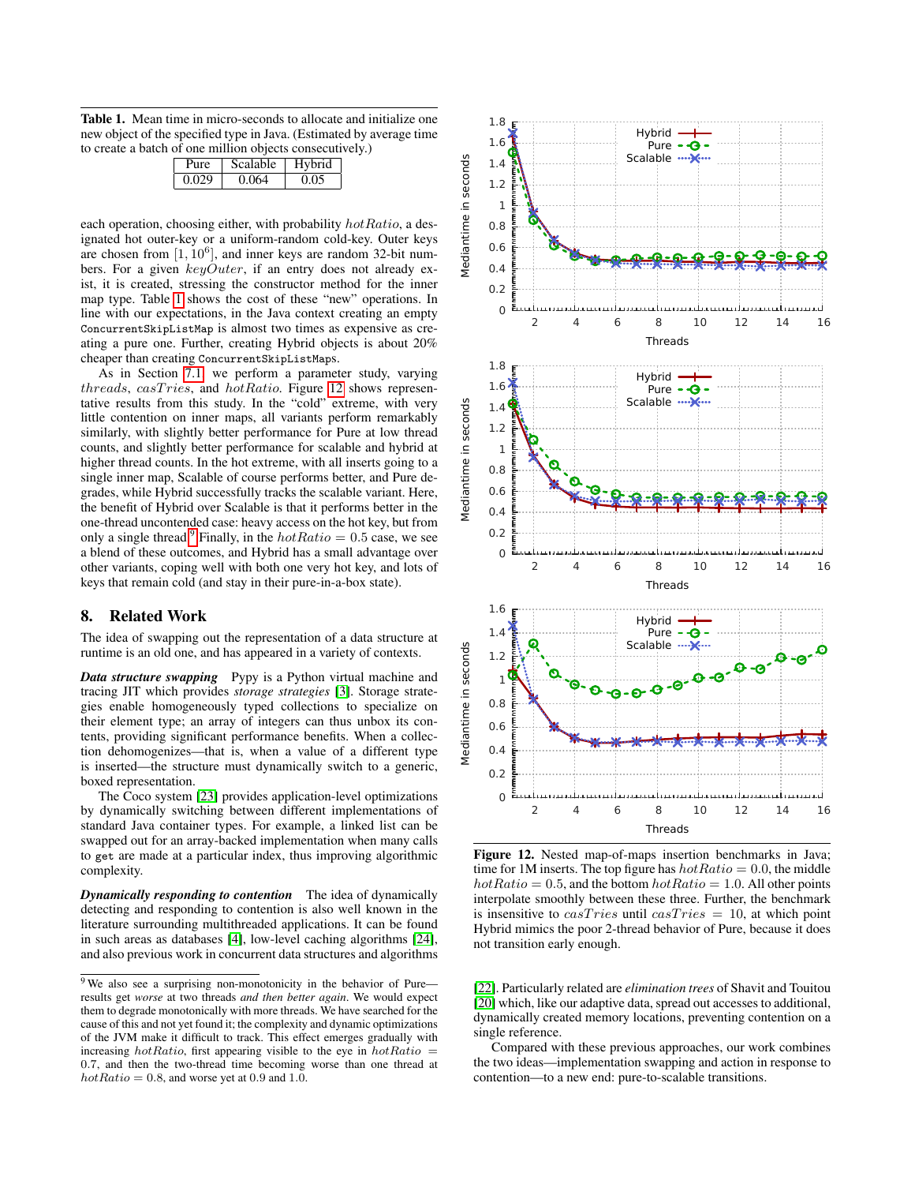<span id="page-10-0"></span>Table 1. Mean time in micro-seconds to allocate and initialize one new object of the specified type in Java. (Estimated by average time to create a batch of one million objects consecutively.)

|       | Scalable. | Hybrid |
|-------|-----------|--------|
| 0.029 | 0.064     | 0.05   |

each operation, choosing either, with probability  $hotRatio$ , a designated hot outer-key or a uniform-random cold-key. Outer keys are chosen from  $[1, 10^6]$ , and inner keys are random 32-bit numbers. For a given  $keyOuter$ , if an entry does not already exist, it is created, stressing the constructor method for the inner map type. Table [1](#page-10-0) shows the cost of these "new" operations. In line with our expectations, in the Java context creating an empty ConcurrentSkipListMap is almost two times as expensive as creating a pure one. Further, creating Hybrid objects is about 20% cheaper than creating ConcurrentSkipListMaps.

As in Section [7.1,](#page-8-3) we perform a parameter study, varying threads, casTries, and hotRatio. Figure [12](#page-10-1) shows representative results from this study. In the "cold" extreme, with very little contention on inner maps, all variants perform remarkably similarly, with slightly better performance for Pure at low thread counts, and slightly better performance for scalable and hybrid at higher thread counts. In the hot extreme, with all inserts going to a single inner map, Scalable of course performs better, and Pure degrades, while Hybrid successfully tracks the scalable variant. Here, the benefit of Hybrid over Scalable is that it performs better in the one-thread uncontended case: heavy access on the hot key, but from only a single thread.<sup>[9](#page-10-2)</sup> Finally, in the  $hotRatio = 0.5$  case, we see a blend of these outcomes, and Hybrid has a small advantage over other variants, coping well with both one very hot key, and lots of keys that remain cold (and stay in their pure-in-a-box state).

# 8. Related Work

The idea of swapping out the representation of a data structure at runtime is an old one, and has appeared in a variety of contexts.

*Data structure swapping* Pypy is a Python virtual machine and tracing JIT which provides *storage strategies* [\[3\]](#page-11-5). Storage strategies enable homogeneously typed collections to specialize on their element type; an array of integers can thus unbox its contents, providing significant performance benefits. When a collection dehomogenizes—that is, when a value of a different type is inserted—the structure must dynamically switch to a generic, boxed representation.

The Coco system [\[23\]](#page-11-6) provides application-level optimizations by dynamically switching between different implementations of standard Java container types. For example, a linked list can be swapped out for an array-backed implementation when many calls to get are made at a particular index, thus improving algorithmic complexity.

*Dynamically responding to contention* The idea of dynamically detecting and responding to contention is also well known in the literature surrounding multithreaded applications. It can be found in such areas as databases [\[4\]](#page-11-20), low-level caching algorithms [\[24\]](#page-11-21), and also previous work in concurrent data structures and algorithms



<span id="page-10-1"></span>Figure 12. Nested map-of-maps insertion benchmarks in Java; time for 1M inserts. The top figure has  $hotRatio = 0.0$ , the middle  $hotRatio = 0.5$ , and the bottom  $hotRatio = 1.0$ . All other points interpolate smoothly between these three. Further, the benchmark is insensitive to  $casTries$  until  $casTries = 10$ , at which point Hybrid mimics the poor 2-thread behavior of Pure, because it does not transition early enough.

[\[22\]](#page-11-22). Particularly related are *elimination trees* of Shavit and Touitou [\[20\]](#page-11-23) which, like our adaptive data, spread out accesses to additional, dynamically created memory locations, preventing contention on a single reference.

Compared with these previous approaches, our work combines the two ideas—implementation swapping and action in response to contention—to a new end: pure-to-scalable transitions.

<span id="page-10-2"></span> $9$  We also see a surprising non-monotonicity in the behavior of Pure results get *worse* at two threads *and then better again*. We would expect them to degrade monotonically with more threads. We have searched for the cause of this and not yet found it; the complexity and dynamic optimizations of the JVM make it difficult to track. This effect emerges gradually with increasing  $hotRatio$ , first appearing visible to the eye in  $hotRatio$ 0.7, and then the two-thread time becoming worse than one thread at  $hotRatio = 0.8$ , and worse yet at 0.9 and 1.0.